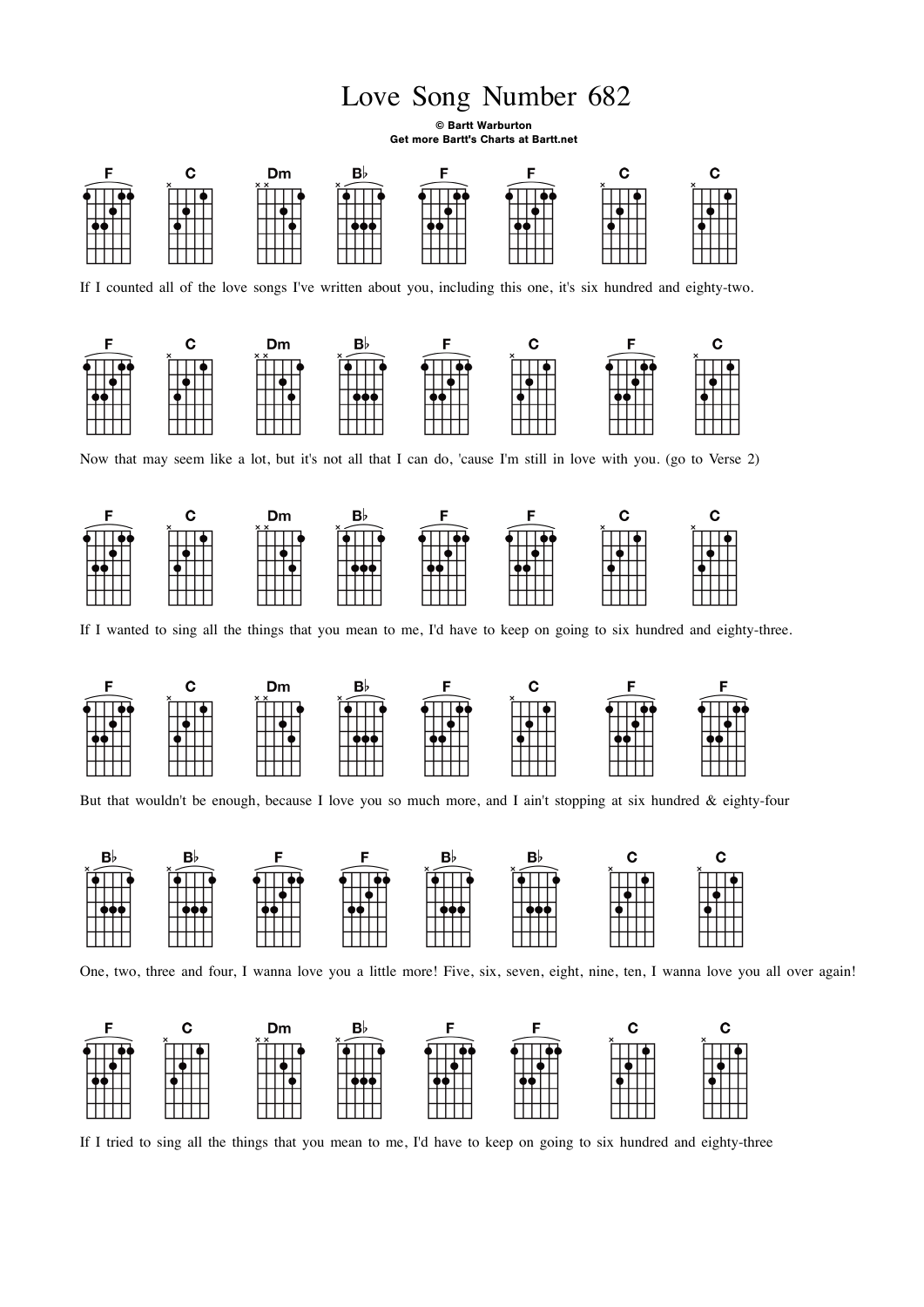## Love Song Number 682

© Bartt Warburton Get more Bartt's Charts at Bartt.net



If I counted all of the love songs I've written about you, including this one, it's six hundred and eighty-two.



Now that may seem like a lot, but it's not all that I can do, 'cause I'm still in love with you. (go to Verse 2)



If I wanted to sing all the things that you mean to me, I'd have to keep on going to six hundred and eighty-three.



But that wouldn't be enough, because I love you so much more, and I ain't stopping at six hundred & eighty-four



One, two, three and four, I wanna love you a little more! Five, six, seven, eight, nine, ten, I wanna love you all over again!



If I tried to sing all the things that you mean to me, I'd have to keep on going to six hundred and eighty-three